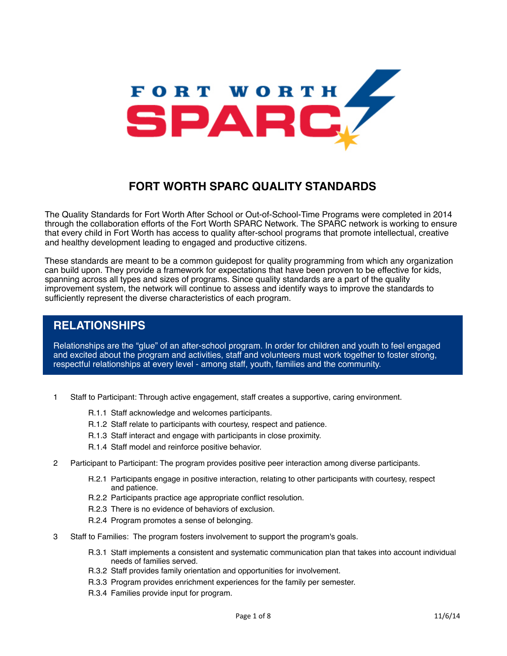

# **FORT WORTH SPARC QUALITY STANDARDS**

The Quality Standards for Fort Worth After School or Out-of-School-Time Programs were completed in 2014 through the collaboration efforts of the Fort Worth SPARC Network. The SPARC network is working to ensure that every child in Fort Worth has access to quality after-school programs that promote intellectual, creative and healthy development leading to engaged and productive citizens.

These standards are meant to be a common guidepost for quality programming from which any organization can build upon. They provide a framework for expectations that have been proven to be effective for kids, spanning across all types and sizes of programs. Since quality standards are a part of the quality improvement system, the network will continue to assess and identify ways to improve the standards to sufficiently represent the diverse characteristics of each program.

#### **RELATIONSHIPS**

Relationships are the "glue" of an after-school program. In order for children and youth to feel engaged and excited about the program and activities, staff and volunteers must work together to foster strong, respectful relationships at every level - among staff, youth, families and the community.

- 1 Staff to Participant: Through active engagement, staff creates a supportive, caring environment.
	- R.1.1 Staff acknowledge and welcomes participants.
	- R.1.2 Staff relate to participants with courtesy, respect and patience.
	- R.1.3 Staff interact and engage with participants in close proximity.
	- R.1.4 Staff model and reinforce positive behavior.
- 2 Participant to Participant: The program provides positive peer interaction among diverse participants.
	- R.2.1 Participants engage in positive interaction, relating to other participants with courtesy, respect and patience.
	- R.2.2 Participants practice age appropriate conflict resolution.
	- R.2.3 There is no evidence of behaviors of exclusion.
	- R.2.4 Program promotes a sense of belonging.
- 3 Staff to Families: The program fosters involvement to support the program's goals.
	- R.3.1 Staff implements a consistent and systematic communication plan that takes into account individual needs of families served.
	- R.3.2 Staff provides family orientation and opportunities for involvement.
	- R.3.3 Program provides enrichment experiences for the family per semester.
	- R.3.4 Families provide input for program.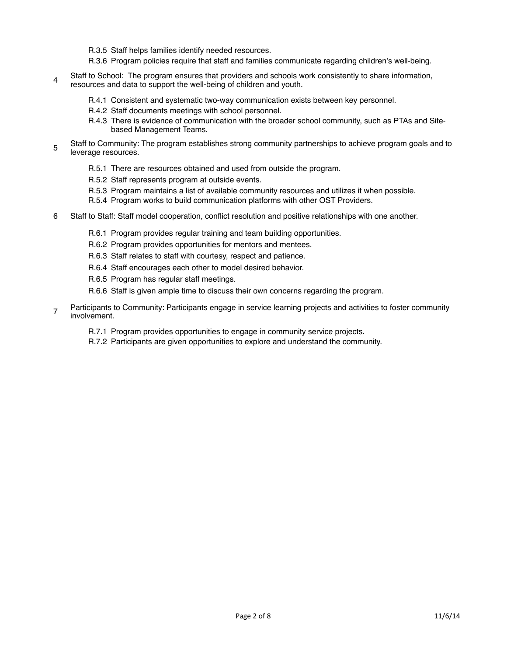- R.3.5 Staff helps families identify needed resources.
- R.3.6 Program policies require that staff and families communicate regarding children's well-being.
- 4 Staff to School: The program ensures that providers and schools work consistently to share information, resources and data to support the well-being of children and youth.
	- R.4.1 Consistent and systematic two-way communication exists between key personnel.
	- R.4.2 Staff documents meetings with school personnel.
	- R.4.3 There is evidence of communication with the broader school community, such as PTAs and Sitebased Management Teams.
- 5 Staff to Community: The program establishes strong community partnerships to achieve program goals and to leverage resources.
	- R.5.1 There are resources obtained and used from outside the program.
	- R.5.2 Staff represents program at outside events.
	- R.5.3 Program maintains a list of available community resources and utilizes it when possible.
	- R.5.4 Program works to build communication platforms with other OST Providers.
- 6 Staff to Staff: Staff model cooperation, conflict resolution and positive relationships with one another.
	- R.6.1 Program provides regular training and team building opportunities.
	- R.6.2 Program provides opportunities for mentors and mentees.
	- R.6.3 Staff relates to staff with courtesy, respect and patience.
	- R.6.4 Staff encourages each other to model desired behavior.
	- R.6.5 Program has regular staff meetings.
	- R.6.6 Staff is given ample time to discuss their own concerns regarding the program.
- 7 Participants to Community: Participants engage in service learning projects and activities to foster community involvement.
	- R.7.1 Program provides opportunities to engage in community service projects.
	- R.7.2 Participants are given opportunities to explore and understand the community.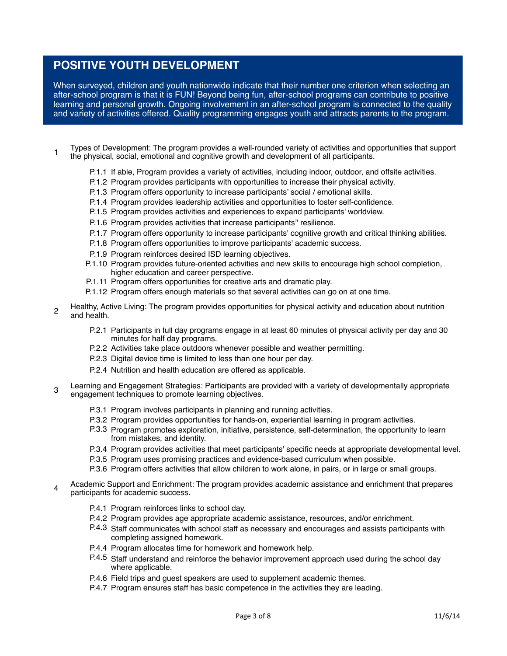# **POSITIVE YOUTH DEVELOPMENT**

When surveyed, children and youth nationwide indicate that their number one criterion when selecting an after-school program is that it is FUN! Beyond being fun, after-school programs can contribute to positive learning and personal growth. Ongoing involvement in an after-school program is connected to the quality and variety of activities offered. Quality programming engages youth and attracts parents to the program.

- 1 Types of Development: The program provides a well-rounded variety of activities and opportunities that support the physical, social, emotional and cognitive growth and development of all participants.
	- P.1.1 If able, Program provides a variety of activities, including indoor, outdoor, and offsite activities.
	- P.1.2 Program provides participants with opportunities to increase their physical activity.
	- P.1.3 Program offers opportunity to increase participants' social / emotional skills.
	- P.1.4 Program provides leadership activities and opportunities to foster self-confidence.
	- P.1.5 Program provides activities and experiences to expand participants' worldview.
	- P.1.6 Program provides activities that increase participants'' resilience.
	- P.1.7 Program offers opportunity to increase participants' cognitive growth and critical thinking abilities.
	- P.1.8 Program offers opportunities to improve participants' academic success.
	- P.1.9 Program reinforces desired ISD learning objectives.
	- P.1.10 Program provides future-oriented activities and new skills to encourage high school completion, higher education and career perspective.
	- P.1.11 Program offers opportunities for creative arts and dramatic play.
	- P.1.12 Program offers enough materials so that several activities can go on at one time.
- $\mathfrak{p}$ Healthy, Active Living: The program provides opportunities for physical activity and education about nutrition and health.
	- P.2.1 Participants in full day programs engage in at least 60 minutes of physical activity per day and 30 minutes for half day programs.
	- P.2.2 Activities take place outdoors whenever possible and weather permitting.
	- P.2.3 Digital device time is limited to less than one hour per day.
	- P.2.4 Nutrition and health education are offered as applicable.
- 3 Learning and Engagement Strategies: Participants are provided with a variety of developmentally appropriate engagement techniques to promote learning objectives.
	- P.3.1 Program involves participants in planning and running activities.
	- P.3.2 Program provides opportunities for hands-on, experiential learning in program activities.
	- P.3.3 Program promotes exploration, initiative, persistence, self-determination, the opportunity to learn from mistakes, and identity.
	- P.3.4 Program provides activities that meet participants' specific needs at appropriate developmental level.
	- P.3.5 Program uses promising practices and evidence-based curriculum when possible.
	- P.3.6 Program offers activities that allow children to work alone, in pairs, or in large or small groups.
- 4 Academic Support and Enrichment: The program provides academic assistance and enrichment that prepares participants for academic success.
	- P.4.1 Program reinforces links to school day.
	- P.4.2 Program provides age appropriate academic assistance, resources, and/or enrichment.
	- P.4.3 Staff communicates with school staff as necessary and encourages and assists participants with completing assigned homework.
	- P.4.4 Program allocates time for homework and homework help.
	- P.4.5 Staff understand and reinforce the behavior improvement approach used during the school day where applicable.
	- P.4.6 Field trips and guest speakers are used to supplement academic themes.
	- P.4.7 Program ensures staff has basic competence in the activities they are leading.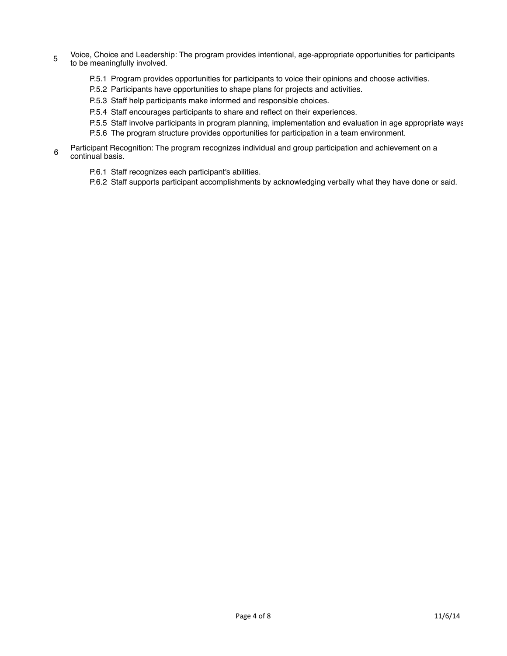- 5 Voice, Choice and Leadership: The program provides intentional, age-appropriate opportunities for participants to be meaningfully involved.
	- P.5.1 Program provides opportunities for participants to voice their opinions and choose activities.
	- P.5.2 Participants have opportunities to shape plans for projects and activities.
	- P.5.3 Staff help participants make informed and responsible choices.
	- P.5.4 Staff encourages participants to share and reflect on their experiences.
	- P.5.5 Staff involve participants in program planning, implementation and evaluation in age appropriate ways.
	- P.5.6 The program structure provides opportunities for participation in a team environment.
- 6 Participant Recognition: The program recognizes individual and group participation and achievement on a continual basis.
	- P.6.1 Staff recognizes each participant's abilities.
	- P.6.2 Staff supports participant accomplishments by acknowledging verbally what they have done or said.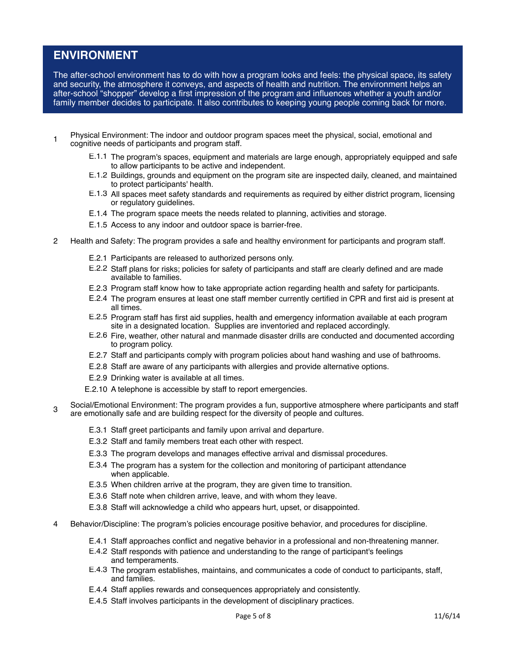# **ENVIRONMENT**

The after-school environment has to do with how a program looks and feels: the physical space, its safety and security, the atmosphere it conveys, and aspects of health and nutrition. The environment helps an after-school "shopper" develop a first impression of the program and influences whether a youth and/or family member decides to participate. It also contributes to keeping young people coming back for more.

- 1 Physical Environment: The indoor and outdoor program spaces meet the physical, social, emotional and cognitive needs of participants and program staff.
	- E.1.1 The program's spaces, equipment and materials are large enough, appropriately equipped and safe to allow participants to be active and independent.
	- E.1.2 Buildings, grounds and equipment on the program site are inspected daily, cleaned, and maintained to protect participants' health.
	- E.1.3 All spaces meet safety standards and requirements as required by either district program, licensing or regulatory guidelines.
	- E.1.4 The program space meets the needs related to planning, activities and storage.
	- E.1.5 Access to any indoor and outdoor space is barrier-free.
- 2 Health and Safety: The program provides a safe and healthy environment for participants and program staff.
	- E.2.1 Participants are released to authorized persons only.
	- E.2.2 Staff plans for risks; policies for safety of participants and staff are clearly defined and are made available to families.
	- E.2.3 Program staff know how to take appropriate action regarding health and safety for participants.
	- E.2.4 The program ensures at least one staff member currently certified in CPR and first aid is present at all times.
	- E.2.5 Program staff has first aid supplies, health and emergency information available at each program site in a designated location. Supplies are inventoried and replaced accordingly.
	- E.2.6 Fire, weather, other natural and manmade disaster drills are conducted and documented according to program policy.
	- E.2.7 Staff and participants comply with program policies about hand washing and use of bathrooms.
	- E.2.8 Staff are aware of any participants with allergies and provide alternative options.
	- E.2.9 Drinking water is available at all times.
	- E.2.10 A telephone is accessible by staff to report emergencies.
- 3 Social/Emotional Environment: The program provides a fun, supportive atmosphere where participants and staff are emotionally safe and are building respect for the diversity of people and cultures.
	- E.3.1 Staff greet participants and family upon arrival and departure.
	- E.3.2 Staff and family members treat each other with respect.
	- E.3.3 The program develops and manages effective arrival and dismissal procedures.
	- E.3.4 The program has a system for the collection and monitoring of participant attendance when applicable.
	- E.3.5 When children arrive at the program, they are given time to transition.
	- E.3.6 Staff note when children arrive, leave, and with whom they leave.
	- E.3.8 Staff will acknowledge a child who appears hurt, upset, or disappointed.
- 4 Behavior/Discipline: The program's policies encourage positive behavior, and procedures for discipline.
	- E.4.1 Staff approaches conflict and negative behavior in a professional and non-threatening manner.
	- E.4.2 Staff responds with patience and understanding to the range of participant's feelings and temperaments.
	- E.4.3 The program establishes, maintains, and communicates a code of conduct to participants, staff, and families.
	- E.4.4 Staff applies rewards and consequences appropriately and consistently.
	- E.4.5 Staff involves participants in the development of disciplinary practices.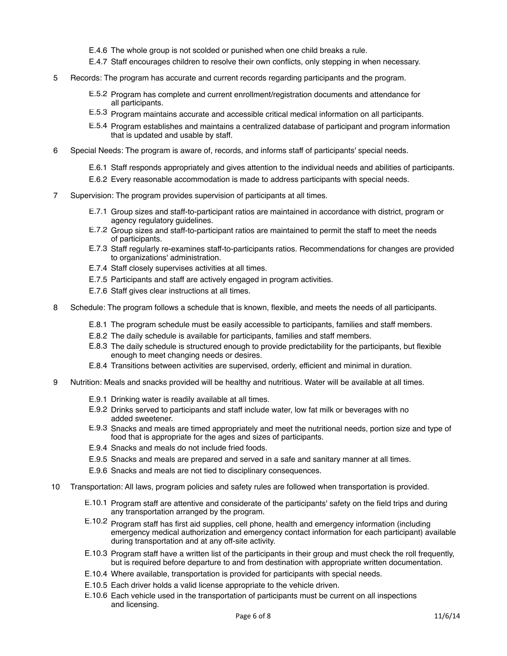- E.4.6 The whole group is not scolded or punished when one child breaks a rule.
- E.4.7 Staff encourages children to resolve their own conflicts, only stepping in when necessary.
- 5 Records: The program has accurate and current records regarding participants and the program.
	- E.5.2 Program has complete and current enrollment/registration documents and attendance for all participants.
	- E.5.3 Program maintains accurate and accessible critical medical information on all participants.
	- E.5.4 Program establishes and maintains a centralized database of participant and program information that is updated and usable by staff.
- 6 Special Needs: The program is aware of, records, and informs staff of participants' special needs.
	- E.6.1 Staff responds appropriately and gives attention to the individual needs and abilities of participants.
	- E.6.2 Every reasonable accommodation is made to address participants with special needs.
- 7 Supervision: The program provides supervision of participants at all times.
	- E.7.1 Group sizes and staff-to-participant ratios are maintained in accordance with district, program or agency regulatory guidelines.
	- E.7.2 Group sizes and staff-to-participant ratios are maintained to permit the staff to meet the needs of participants.
	- E.7.3 Staff regularly re-examines staff-to-participants ratios. Recommendations for changes are provided to organizations' administration.
	- E.7.4 Staff closely supervises activities at all times.
	- E.7.5 Participants and staff are actively engaged in program activities.
	- E.7.6 Staff gives clear instructions at all times.
- 8 Schedule: The program follows a schedule that is known, flexible, and meets the needs of all participants.
	- E.8.1 The program schedule must be easily accessible to participants, families and staff members.
	- E.8.2 The daily schedule is available for participants, families and staff members.
	- E.8.3 The daily schedule is structured enough to provide predictability for the participants, but flexible enough to meet changing needs or desires.
	- E.8.4 Transitions between activities are supervised, orderly, efficient and minimal in duration.
- 9 Nutrition: Meals and snacks provided will be healthy and nutritious. Water will be available at all times.
	- E.9.1 Drinking water is readily available at all times.
	- E.9.2 Drinks served to participants and staff include water, low fat milk or beverages with no added sweetener.
	- E.9.3 Snacks and meals are timed appropriately and meet the nutritional needs, portion size and type of food that is appropriate for the ages and sizes of participants.
	- E.9.4 Snacks and meals do not include fried foods.
	- E.9.5 Snacks and meals are prepared and served in a safe and sanitary manner at all times.
	- E.9.6 Snacks and meals are not tied to disciplinary consequences.
- 10 Transportation: All laws, program policies and safety rules are followed when transportation is provided.
	- E.10.1 Program staff are attentive and considerate of the participants' safety on the field trips and during any transportation arranged by the program.
	- E.10.2 Program staff has first aid supplies, cell phone, health and emergency information (including emergency medical authorization and emergency contact information for each participant) available during transportation and at any off-site activity.
	- E.10.3 Program staff have a written list of the participants in their group and must check the roll frequently, but is required before departure to and from destination with appropriate written documentation.
	- E.10.4 Where available, transportation is provided for participants with special needs.
	- E.10.5 Each driver holds a valid license appropriate to the vehicle driven.
	- E.10.6 Each vehicle used in the transportation of participants must be current on all inspections and licensing.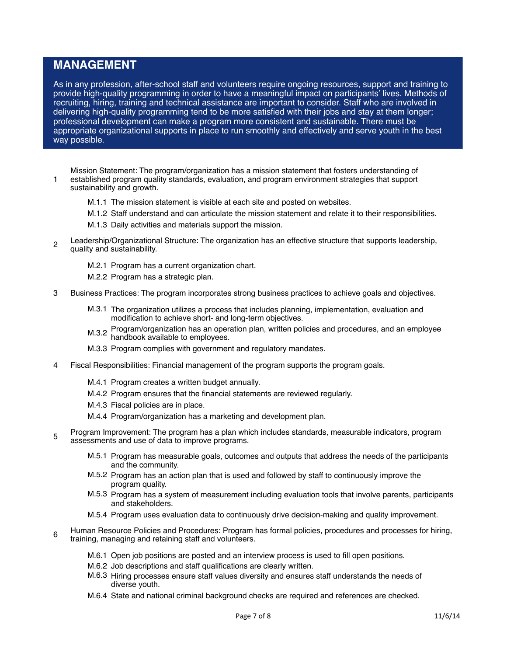#### **MANAGEMENT**

As in any profession, after-school staff and volunteers require ongoing resources, support and training to provide high-quality programming in order to have a meaningful impact on participants' lives. Methods of recruiting, hiring, training and technical assistance are important to consider. Staff who are involved in delivering high-quality programming tend to be more satisfied with their jobs and stay at them longer; professional development can make a program more consistent and sustainable. There must be appropriate organizational supports in place to run smoothly and effectively and serve youth in the best way possible.

1 Mission Statement: The program/organization has a mission statement that fosters understanding of established program quality standards, evaluation, and program environment strategies that support sustainability and growth.

- M.1.1 The mission statement is visible at each site and posted on websites.
- M.1.2 Staff understand and can articulate the mission statement and relate it to their responsibilities.
- M.1.3 Daily activities and materials support the mission.
- $\mathfrak{p}$ Leadership/Organizational Structure: The organization has an effective structure that supports leadership, quality and sustainability.
	- M.2.1 Program has a current organization chart.
	- M.2.2 Program has a strategic plan.
- 3 Business Practices: The program incorporates strong business practices to achieve goals and objectives.
	- M.3.1 The organization utilizes a process that includes planning, implementation, evaluation and modification to achieve short- and long-term objectives.
	- M.3.2 Program/organization has an operation plan, written policies and procedures, and an employee handbook available to employees.
	- M.3.3 Program complies with government and regulatory mandates.
- 4 Fiscal Responsibilities: Financial management of the program supports the program goals.
	- M.4.1 Program creates a written budget annually.
	- M.4.2 Program ensures that the financial statements are reviewed regularly.
	- M.4.3 Fiscal policies are in place.
	- M.4.4 Program/organization has a marketing and development plan.
- 5 Program Improvement: The program has a plan which includes standards, measurable indicators, program assessments and use of data to improve programs.
	- M.5.1 Program has measurable goals, outcomes and outputs that address the needs of the participants and the community.
	- M.5.2 Program has an action plan that is used and followed by staff to continuously improve the program quality.
	- M.5.3 Program has a system of measurement including evaluation tools that involve parents, participants and stakeholders.
	- M.5.4 Program uses evaluation data to continuously drive decision-making and quality improvement.
- 6 Human Resource Policies and Procedures: Program has formal policies, procedures and processes for hiring, training, managing and retaining staff and volunteers.
	- M.6.1 Open job positions are posted and an interview process is used to fill open positions.
	- M.6.2 Job descriptions and staff qualifications are clearly written.
	- M.6.3 Hiring processes ensure staff values diversity and ensures staff understands the needs of diverse youth.
	- M.6.4 State and national criminal background checks are required and references are checked.